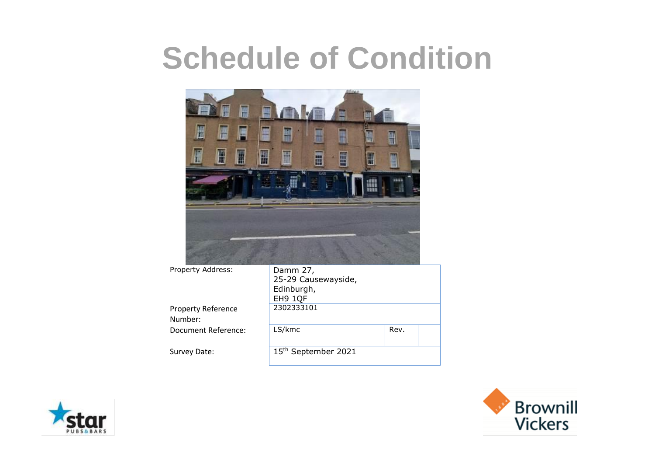

Property Address: Damm 27, 25-29 Causewayside, Edinburgh, EH9 1QF Property Reference Number: 2302333101 Document Reference: LS/kmc Rev. Survey Date: 15<sup>th</sup> September 2021



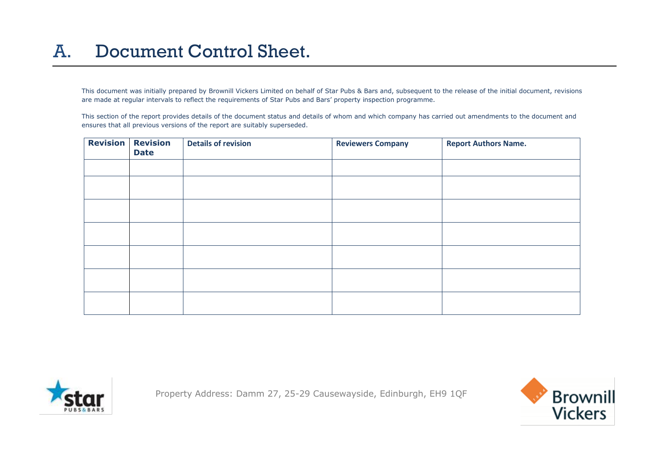#### A. Document Control Sheet.

This document was initially prepared by Brownill Vickers Limited on behalf of Star Pubs & Bars and, subsequent to the release of the initial document, revisions are made at regular intervals to reflect the requirements of Star Pubs and Bars' property inspection programme.

This section of the report provides details of the document status and details of whom and which company has carried out amendments to the document and ensures that all previous versions of the report are suitably superseded.

| <b>Revision</b> | <b>Revision</b><br><b>Date</b> | <b>Details of revision</b> | <b>Reviewers Company</b> | <b>Report Authors Name.</b> |
|-----------------|--------------------------------|----------------------------|--------------------------|-----------------------------|
|                 |                                |                            |                          |                             |
|                 |                                |                            |                          |                             |
|                 |                                |                            |                          |                             |
|                 |                                |                            |                          |                             |
|                 |                                |                            |                          |                             |
|                 |                                |                            |                          |                             |
|                 |                                |                            |                          |                             |



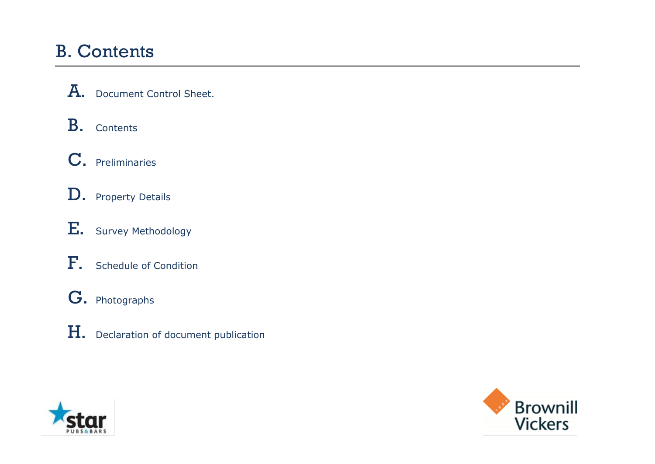#### B. Contents

A. Document Control Sheet.

B. Contents

C. Preliminaries

D. Property Details

E. Survey Methodology

F. Schedule of Condition

G. Photographs

H. Declaration of document publication



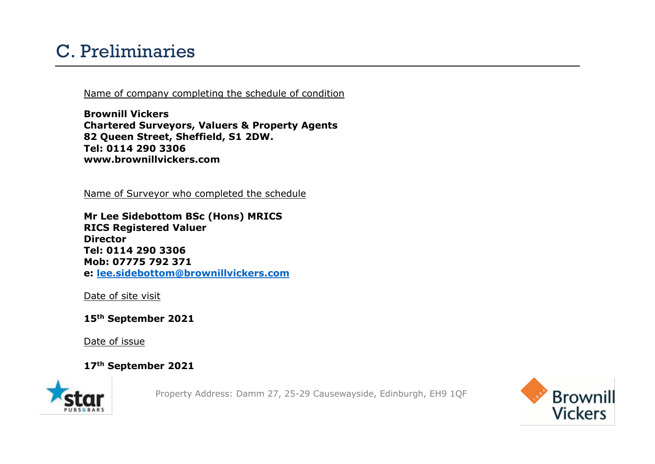#### C. Preliminaries

Name of company completing the schedule of condition

**Brownill Vickers Chartered Surveyors, Valuers & Property Agents 82 Queen Street, Sheffield, S1 2DW. Tel: 0114 290 3306 www.brownillvickers.com**

Name of Surveyor who completed the schedule

**Mr Lee Sidebottom BSc (Hons) MRICS RICS Registered Valuer Director Tel: 0114 290 3306 Mob: 07775 792 371 e: [lee.sidebottom@brownillvickers.com](mailto:lee.sidebottom@brownillvickers.com)**

Date of site visit

**15th September 2021**

Date of issue

**17th September 2021**



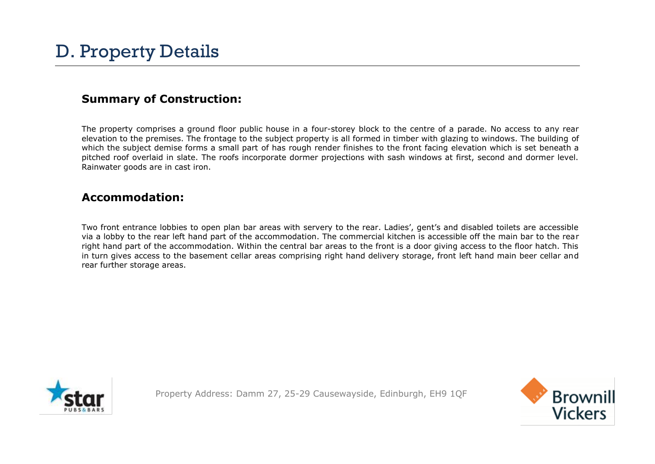#### **Summary of Construction:**

The property comprises a ground floor public house in a four-storey block to the centre of a parade. No access to any rear elevation to the premises. The frontage to the subject property is all formed in timber with glazing to windows. The building of which the subject demise forms a small part of has rough render finishes to the front facing elevation which is set beneath a pitched roof overlaid in slate. The roofs incorporate dormer projections with sash windows at first, second and dormer level. Rainwater goods are in cast iron.

#### **Accommodation:**

Two front entrance lobbies to open plan bar areas with servery to the rear. Ladies', gent's and disabled toilets are accessible via a lobby to the rear left hand part of the accommodation. The commercial kitchen is accessible off the main bar to the rear right hand part of the accommodation. Within the central bar areas to the front is a door giving access to the floor hatch. This in turn gives access to the basement cellar areas comprising right hand delivery storage, front left hand main beer cellar and rear further storage areas.



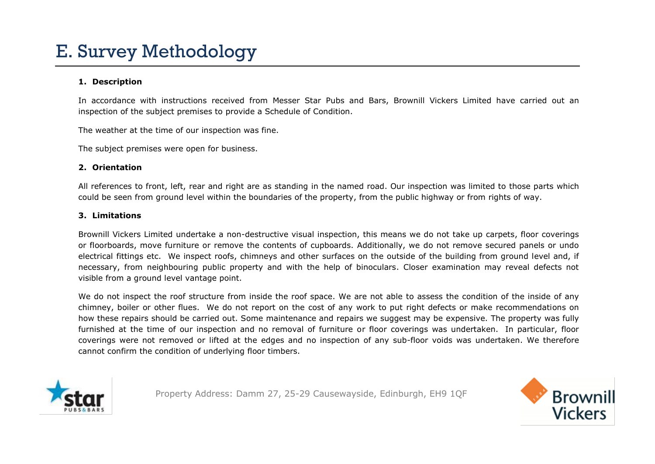#### **1. Description**

In accordance with instructions received from Messer Star Pubs and Bars, Brownill Vickers Limited have carried out an inspection of the subject premises to provide a Schedule of Condition.

The weather at the time of our inspection was fine.

The subject premises were open for business.

#### **2. Orientation**

All references to front, left, rear and right are as standing in the named road. Our inspection was limited to those parts which could be seen from ground level within the boundaries of the property, from the public highway or from rights of way.

#### **3. Limitations**

Brownill Vickers Limited undertake a non-destructive visual inspection, this means we do not take up carpets, floor coverings or floorboards, move furniture or remove the contents of cupboards. Additionally, we do not remove secured panels or undo electrical fittings etc. We inspect roofs, chimneys and other surfaces on the outside of the building from ground level and, if necessary, from neighbouring public property and with the help of binoculars. Closer examination may reveal defects not visible from a ground level vantage point.

We do not inspect the roof structure from inside the roof space. We are not able to assess the condition of the inside of any chimney, boiler or other flues. We do not report on the cost of any work to put right defects or make recommendations on how these repairs should be carried out. Some maintenance and repairs we suggest may be expensive. The property was fully furnished at the time of our inspection and no removal of furniture or floor coverings was undertaken. In particular, floor coverings were not removed or lifted at the edges and no inspection of any sub-floor voids was undertaken. We therefore cannot confirm the condition of underlying floor timbers.



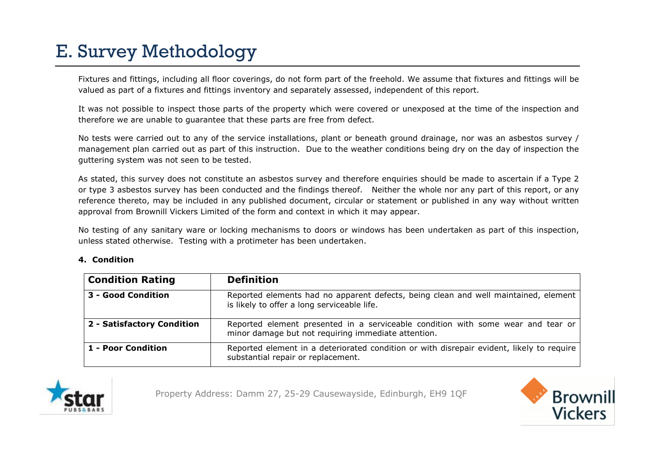# E. Survey Methodology

Fixtures and fittings, including all floor coverings, do not form part of the freehold. We assume that fixtures and fittings will be valued as part of a fixtures and fittings inventory and separately assessed, independent of this report.

It was not possible to inspect those parts of the property which were covered or unexposed at the time of the inspection and therefore we are unable to guarantee that these parts are free from defect.

No tests were carried out to any of the service installations, plant or beneath ground drainage, nor was an asbestos survey / management plan carried out as part of this instruction. Due to the weather conditions being dry on the day of inspection the guttering system was not seen to be tested.

As stated, this survey does not constitute an asbestos survey and therefore enquiries should be made to ascertain if a Type 2 or type 3 asbestos survey has been conducted and the findings thereof. Neither the whole nor any part of this report, or any reference thereto, may be included in any published document, circular or statement or published in any way without written approval from Brownill Vickers Limited of the form and context in which it may appear.

No testing of any sanitary ware or locking mechanisms to doors or windows has been undertaken as part of this inspection, unless stated otherwise. Testing with a protimeter has been undertaken.

#### **4. Condition**

| <b>Condition Rating</b>    | <b>Definition</b>                                                                                                                       |
|----------------------------|-----------------------------------------------------------------------------------------------------------------------------------------|
| 3 - Good Condition         | Reported elements had no apparent defects, being clean and well maintained, element<br>is likely to offer a long serviceable life.      |
| 2 - Satisfactory Condition | Reported element presented in a serviceable condition with some wear and tear or<br>minor damage but not requiring immediate attention. |
| 1 - Poor Condition         | Reported element in a deteriorated condition or with disrepair evident, likely to require<br>substantial repair or replacement.         |



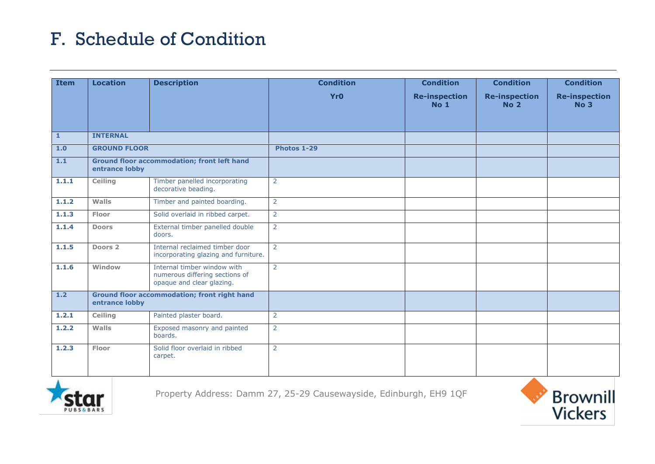| <b>Item</b>  | <b>Location</b>     | <b>Description</b>                                                                         | <b>Condition</b> | <b>Condition</b>                        | <b>Condition</b>                        | <b>Condition</b>                        |
|--------------|---------------------|--------------------------------------------------------------------------------------------|------------------|-----------------------------------------|-----------------------------------------|-----------------------------------------|
|              |                     |                                                                                            | <b>Yr0</b>       | <b>Re-inspection</b><br>No <sub>1</sub> | <b>Re-inspection</b><br>No <sub>2</sub> | <b>Re-inspection</b><br>No <sub>3</sub> |
| $\mathbf{1}$ | <b>INTERNAL</b>     |                                                                                            |                  |                                         |                                         |                                         |
| 1.0          | <b>GROUND FLOOR</b> |                                                                                            | Photos 1-29      |                                         |                                         |                                         |
| 1.1          | entrance lobby      | <b>Ground floor accommodation; front left hand</b>                                         |                  |                                         |                                         |                                         |
| 1.1.1        | Ceiling             | Timber panelled incorporating<br>decorative beading.                                       | $\overline{2}$   |                                         |                                         |                                         |
| 1.1.2        | Walls               | Timber and painted boarding.                                                               | $\overline{2}$   |                                         |                                         |                                         |
| 1.1.3        | Floor               | Solid overlaid in ribbed carpet.                                                           | $\overline{2}$   |                                         |                                         |                                         |
| 1.1.4        | <b>Doors</b>        | External timber panelled double<br>doors.                                                  | $\overline{2}$   |                                         |                                         |                                         |
| 1.1.5        | Doors 2             | Internal reclaimed timber door<br>incorporating glazing and furniture.                     | $\overline{2}$   |                                         |                                         |                                         |
| 1.1.6        | Window              | Internal timber window with<br>numerous differing sections of<br>opaque and clear glazing. | $\overline{2}$   |                                         |                                         |                                         |
| 1.2          | entrance lobby      | <b>Ground floor accommodation; front right hand</b>                                        |                  |                                         |                                         |                                         |
| 1.2.1        | Ceiling             | Painted plaster board.                                                                     | $\overline{2}$   |                                         |                                         |                                         |
| 1.2.2        | Walls               | Exposed masonry and painted<br>boards.                                                     | $\overline{2}$   |                                         |                                         |                                         |
| 1.2.3        | Floor               | Solid floor overlaid in ribbed<br>carpet.                                                  | $\overline{2}$   |                                         |                                         |                                         |



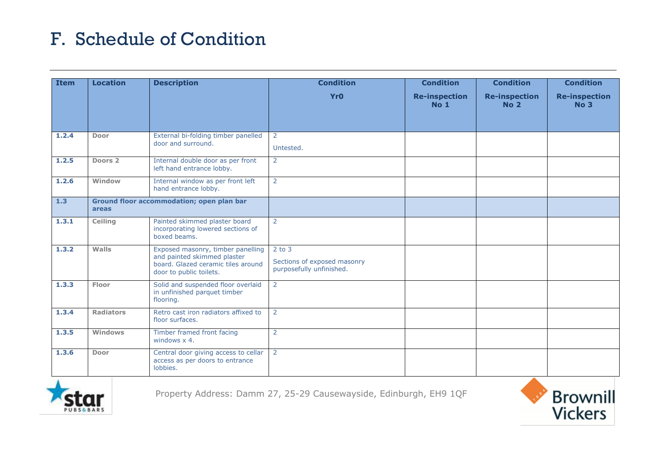| <b>Item</b> | <b>Location</b>                                    | <b>Description</b>                                                                                                                | <b>Condition</b>                                                      | <b>Condition</b>                    | <b>Condition</b>                    | <b>Condition</b>                        |
|-------------|----------------------------------------------------|-----------------------------------------------------------------------------------------------------------------------------------|-----------------------------------------------------------------------|-------------------------------------|-------------------------------------|-----------------------------------------|
|             |                                                    |                                                                                                                                   | <b>Yr0</b>                                                            | <b>Re-inspection</b><br><b>No 1</b> | <b>Re-inspection</b><br><b>No 2</b> | <b>Re-inspection</b><br>No <sub>3</sub> |
| 1.2.4       | Door                                               | External bi-folding timber panelled<br>door and surround.                                                                         | $\overline{2}$<br>Untested.                                           |                                     |                                     |                                         |
| 1.2.5       | Doors 2                                            | Internal double door as per front<br>left hand entrance lobby.                                                                    | $\overline{2}$                                                        |                                     |                                     |                                         |
| 1.2.6       | Window                                             | Internal window as per front left<br>hand entrance lobby.                                                                         | $\overline{2}$                                                        |                                     |                                     |                                         |
| 1.3         | Ground floor accommodation; open plan bar<br>areas |                                                                                                                                   |                                                                       |                                     |                                     |                                         |
| 1.3.1       | <b>Ceiling</b>                                     | Painted skimmed plaster board<br>incorporating lowered sections of<br>boxed beams.                                                | $\overline{2}$                                                        |                                     |                                     |                                         |
| 1.3.2       | Walls                                              | Exposed masonry, timber panelling<br>and painted skimmed plaster<br>board. Glazed ceramic tiles around<br>door to public toilets. | $2$ to $3$<br>Sections of exposed masonry<br>purposefully unfinished. |                                     |                                     |                                         |
| 1.3.3       | Floor                                              | Solid and suspended floor overlaid<br>in unfinished parquet timber<br>flooring.                                                   | $\overline{2}$                                                        |                                     |                                     |                                         |
| 1.3.4       | <b>Radiators</b>                                   | Retro cast iron radiators affixed to<br>floor surfaces.                                                                           | 2                                                                     |                                     |                                     |                                         |
| 1.3.5       | <b>Windows</b>                                     | Timber framed front facing<br>windows $x$ 4.                                                                                      | 2                                                                     |                                     |                                     |                                         |
| 1.3.6       | Door                                               | Central door giving access to cellar<br>access as per doors to entrance<br>lobbies.                                               | $\overline{2}$                                                        |                                     |                                     |                                         |



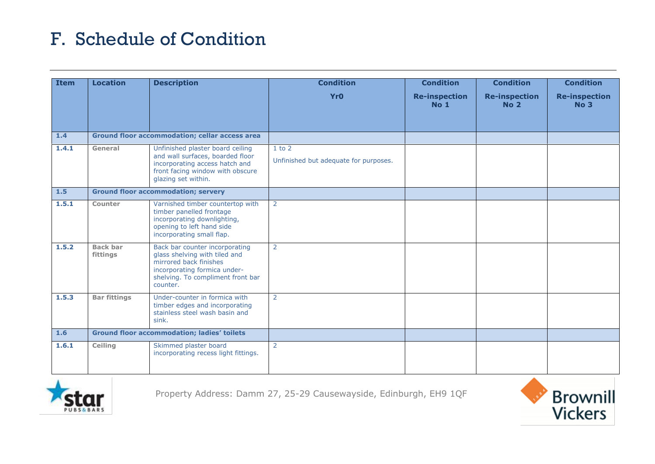| <b>Item</b> | <b>Location</b>                                                                                                                                                              | <b>Description</b>                                                                                                                                                         | <b>Condition</b>                                    | <b>Condition</b>                        | <b>Condition</b>                        | <b>Condition</b>                        |
|-------------|------------------------------------------------------------------------------------------------------------------------------------------------------------------------------|----------------------------------------------------------------------------------------------------------------------------------------------------------------------------|-----------------------------------------------------|-----------------------------------------|-----------------------------------------|-----------------------------------------|
|             |                                                                                                                                                                              |                                                                                                                                                                            | <b>Yr0</b>                                          | <b>Re-inspection</b><br>No <sub>1</sub> | <b>Re-inspection</b><br>No <sub>2</sub> | <b>Re-inspection</b><br>No <sub>3</sub> |
| 1.4         |                                                                                                                                                                              | <b>Ground floor accommodation; cellar access area</b>                                                                                                                      |                                                     |                                         |                                         |                                         |
| 1.4.1       | Unfinished plaster board ceiling<br>General<br>and wall surfaces, boarded floor<br>incorporating access hatch and<br>front facing window with obscure<br>glazing set within. |                                                                                                                                                                            | $1$ to $2$<br>Unfinished but adequate for purposes. |                                         |                                         |                                         |
| 1.5         |                                                                                                                                                                              | <b>Ground floor accommodation; servery</b>                                                                                                                                 |                                                     |                                         |                                         |                                         |
| 1.5.1       | Counter                                                                                                                                                                      | Varnished timber countertop with<br>timber panelled frontage<br>incorporating downlighting,<br>opening to left hand side<br>incorporating small flap.                      | $\overline{2}$                                      |                                         |                                         |                                         |
| 1.5.2       | <b>Back bar</b><br>fittings                                                                                                                                                  | Back bar counter incorporating<br>glass shelving with tiled and<br>mirrored back finishes<br>incorporating formica under-<br>shelving. To compliment front bar<br>counter. | $\overline{2}$                                      |                                         |                                         |                                         |
| 1.5.3       | <b>Bar fittings</b>                                                                                                                                                          | Under-counter in formica with<br>timber edges and incorporating<br>stainless steel wash basin and<br>sink.                                                                 | $\overline{2}$                                      |                                         |                                         |                                         |
| 1.6         |                                                                                                                                                                              | <b>Ground floor accommodation; ladies' toilets</b>                                                                                                                         |                                                     |                                         |                                         |                                         |
| 1.6.1       | Ceiling                                                                                                                                                                      | Skimmed plaster board<br>incorporating recess light fittings.                                                                                                              | 2                                                   |                                         |                                         |                                         |



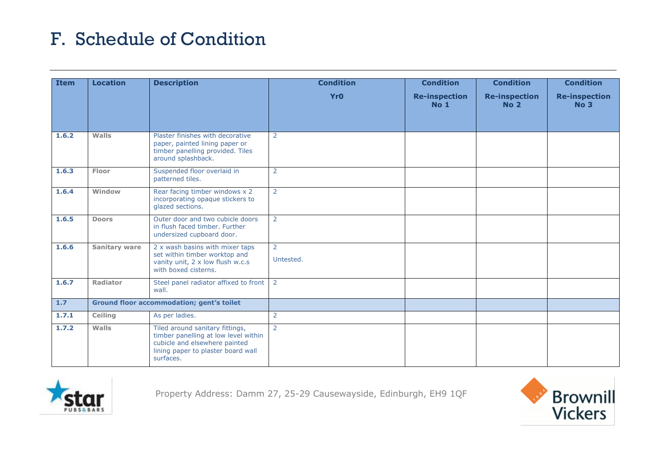| <b>Item</b> | <b>Location</b>      | <b>Description</b>                                                                                                                                          | <b>Condition</b> | <b>Condition</b>                        | <b>Condition</b>                    | <b>Condition</b>                        |
|-------------|----------------------|-------------------------------------------------------------------------------------------------------------------------------------------------------------|------------------|-----------------------------------------|-------------------------------------|-----------------------------------------|
|             |                      |                                                                                                                                                             | <b>Yr0</b>       | <b>Re-inspection</b><br>No <sub>1</sub> | <b>Re-inspection</b><br><b>No 2</b> | <b>Re-inspection</b><br>No <sub>3</sub> |
| 1.6.2       | Walls                | Plaster finishes with decorative<br>paper, painted lining paper or<br>timber panelling provided. Tiles<br>around splashback.                                | $\overline{2}$   |                                         |                                     |                                         |
| 1.6.3       | Floor                | Suspended floor overlaid in<br>patterned tiles.                                                                                                             | $\overline{2}$   |                                         |                                     |                                         |
| 1.6.4       | Window               | Rear facing timber windows x 2<br>incorporating opaque stickers to<br>glazed sections.                                                                      | $\overline{2}$   |                                         |                                     |                                         |
| 1.6.5       | <b>Doors</b>         | Outer door and two cubicle doors<br>in flush faced timber. Further<br>undersized cupboard door.                                                             | $\overline{2}$   |                                         |                                     |                                         |
| 1.6.6       | <b>Sanitary ware</b> | 2 x wash basins with mixer taps<br>set within timber worktop and<br>vanity unit, 2 x low flush w.c.s<br>with boxed cisterns.                                | 2<br>Untested.   |                                         |                                     |                                         |
| 1.6.7       | Radiator             | Steel panel radiator affixed to front 2<br>wall.                                                                                                            |                  |                                         |                                     |                                         |
| 1.7         |                      | <b>Ground floor accommodation; gent's toilet</b>                                                                                                            |                  |                                         |                                     |                                         |
| 1.7.1       | Ceiling              | As per ladies.                                                                                                                                              | 2                |                                         |                                     |                                         |
| 1.7.2       | Walls                | Tiled around sanitary fittings,<br>timber panelling at low level within<br>cubicle and elsewhere painted<br>lining paper to plaster board wall<br>surfaces. | $\overline{2}$   |                                         |                                     |                                         |



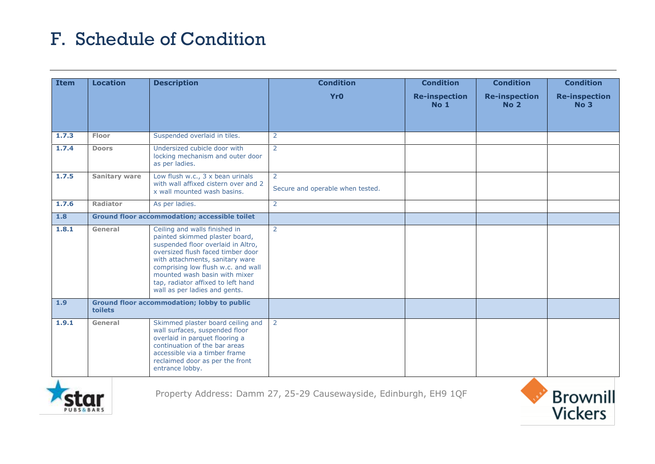| <b>Item</b> | <b>Location</b>      | <b>Description</b>                                                                                                                                                                                                                                                                                                          | <b>Condition</b>                                   | <b>Condition</b>                        | <b>Condition</b>                        | <b>Condition</b>                        |
|-------------|----------------------|-----------------------------------------------------------------------------------------------------------------------------------------------------------------------------------------------------------------------------------------------------------------------------------------------------------------------------|----------------------------------------------------|-----------------------------------------|-----------------------------------------|-----------------------------------------|
|             |                      |                                                                                                                                                                                                                                                                                                                             | <b>Yr0</b>                                         | <b>Re-inspection</b><br>No <sub>1</sub> | <b>Re-inspection</b><br>No <sub>2</sub> | <b>Re-inspection</b><br>No <sub>3</sub> |
| 1.7.3       | Floor                | Suspended overlaid in tiles.                                                                                                                                                                                                                                                                                                | $\overline{2}$                                     |                                         |                                         |                                         |
| 1.7.4       | <b>Doors</b>         | Undersized cubicle door with<br>locking mechanism and outer door<br>as per ladies.                                                                                                                                                                                                                                          | $\overline{2}$                                     |                                         |                                         |                                         |
| 1.7.5       | <b>Sanitary ware</b> | Low flush w.c., 3 x bean urinals<br>with wall affixed cistern over and 2<br>x wall mounted wash basins.                                                                                                                                                                                                                     | $\overline{2}$<br>Secure and operable when tested. |                                         |                                         |                                         |
| 1.7.6       | Radiator             | As per ladies.                                                                                                                                                                                                                                                                                                              | $\overline{2}$                                     |                                         |                                         |                                         |
| 1.8         |                      | <b>Ground floor accommodation; accessible toilet</b>                                                                                                                                                                                                                                                                        |                                                    |                                         |                                         |                                         |
| 1.8.1       | General              | Ceiling and walls finished in<br>painted skimmed plaster board,<br>suspended floor overlaid in Altro,<br>oversized flush faced timber door<br>with attachments, sanitary ware<br>comprising low flush w.c. and wall<br>mounted wash basin with mixer<br>tap, radiator affixed to left hand<br>wall as per ladies and gents. | $\overline{2}$                                     |                                         |                                         |                                         |
| 1.9         | toilets              | <b>Ground floor accommodation; lobby to public</b>                                                                                                                                                                                                                                                                          |                                                    |                                         |                                         |                                         |
| 1.9.1       | General              | Skimmed plaster board ceiling and<br>wall surfaces, suspended floor<br>overlaid in parquet flooring a<br>continuation of the bar areas<br>accessible via a timber frame<br>reclaimed door as per the front<br>entrance lobby.                                                                                               | $\overline{2}$                                     |                                         |                                         |                                         |



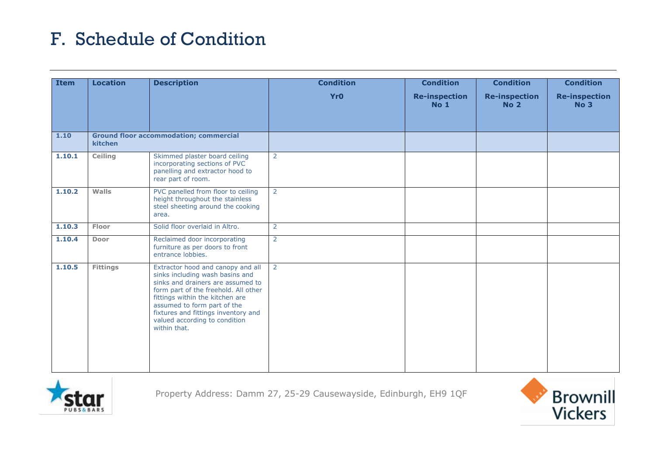| <b>Item</b> | <b>Location</b> | <b>Description</b>                                                                                                                                                                                                                                                                                          | <b>Condition</b> | <b>Condition</b>                    | <b>Condition</b>                    | <b>Condition</b>                    |
|-------------|-----------------|-------------------------------------------------------------------------------------------------------------------------------------------------------------------------------------------------------------------------------------------------------------------------------------------------------------|------------------|-------------------------------------|-------------------------------------|-------------------------------------|
|             |                 |                                                                                                                                                                                                                                                                                                             | <b>Yr0</b>       | <b>Re-inspection</b><br><b>No 1</b> | <b>Re-inspection</b><br><b>No 2</b> | <b>Re-inspection</b><br><b>No 3</b> |
| 1.10        | kitchen         | <b>Ground floor accommodation; commercial</b>                                                                                                                                                                                                                                                               |                  |                                     |                                     |                                     |
| 1.10.1      | Ceiling         | Skimmed plaster board ceiling<br>incorporating sections of PVC<br>panelling and extractor hood to<br>rear part of room.                                                                                                                                                                                     | $\overline{2}$   |                                     |                                     |                                     |
| 1.10.2      | Walls           | PVC panelled from floor to ceiling<br>height throughout the stainless<br>steel sheeting around the cooking<br>area.                                                                                                                                                                                         | $\overline{2}$   |                                     |                                     |                                     |
| 1.10.3      | Floor           | Solid floor overlaid in Altro.                                                                                                                                                                                                                                                                              | $\overline{2}$   |                                     |                                     |                                     |
| 1.10.4      | Door            | Reclaimed door incorporating<br>furniture as per doors to front<br>entrance lobbies.                                                                                                                                                                                                                        | $\overline{2}$   |                                     |                                     |                                     |
| 1.10.5      | <b>Fittings</b> | Extractor hood and canopy and all<br>sinks including wash basins and<br>sinks and drainers are assumed to<br>form part of the freehold. All other<br>fittings within the kitchen are<br>assumed to form part of the<br>fixtures and fittings inventory and<br>valued according to condition<br>within that. | $\overline{2}$   |                                     |                                     |                                     |



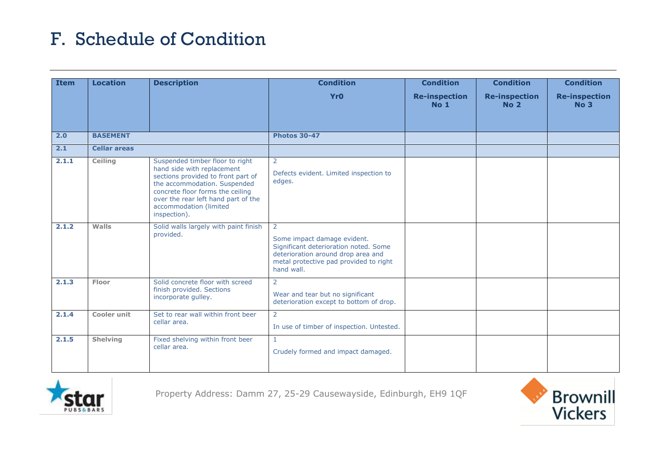| <b>Item</b> | <b>Location</b>     | <b>Description</b>                                                                                                                                                                                                                                       | <b>Condition</b>                                                                                                                                                        | <b>Condition</b>                        | <b>Condition</b>                    | <b>Condition</b>                        |
|-------------|---------------------|----------------------------------------------------------------------------------------------------------------------------------------------------------------------------------------------------------------------------------------------------------|-------------------------------------------------------------------------------------------------------------------------------------------------------------------------|-----------------------------------------|-------------------------------------|-----------------------------------------|
|             |                     |                                                                                                                                                                                                                                                          | <b>Yr0</b>                                                                                                                                                              | <b>Re-inspection</b><br>No <sub>1</sub> | <b>Re-inspection</b><br><b>No 2</b> | <b>Re-inspection</b><br>No <sub>3</sub> |
| 2.0         | <b>BASEMENT</b>     |                                                                                                                                                                                                                                                          | <b>Photos 30-47</b>                                                                                                                                                     |                                         |                                     |                                         |
| 2.1         | <b>Cellar areas</b> |                                                                                                                                                                                                                                                          |                                                                                                                                                                         |                                         |                                     |                                         |
| 2.1.1       | Ceiling             | Suspended timber floor to right<br>hand side with replacement<br>sections provided to front part of<br>the accommodation. Suspended<br>concrete floor forms the ceiling<br>over the rear left hand part of the<br>accommodation (limited<br>inspection). | 2<br>Defects evident. Limited inspection to<br>edges.                                                                                                                   |                                         |                                     |                                         |
| 2.1.2       | Walls               | Solid walls largely with paint finish<br>provided.                                                                                                                                                                                                       | 2<br>Some impact damage evident.<br>Significant deterioration noted. Some<br>deterioration around drop area and<br>metal protective pad provided to right<br>hand wall. |                                         |                                     |                                         |
| 2.1.3       | Floor               | Solid concrete floor with screed<br>finish provided. Sections<br>incorporate gulley.                                                                                                                                                                     | 2<br>Wear and tear but no significant<br>deterioration except to bottom of drop.                                                                                        |                                         |                                     |                                         |
| 2.1.4       | <b>Cooler unit</b>  | Set to rear wall within front beer<br>cellar area.                                                                                                                                                                                                       | 2<br>In use of timber of inspection. Untested.                                                                                                                          |                                         |                                     |                                         |
| 2.1.5       | <b>Shelving</b>     | Fixed shelving within front beer<br>cellar area.                                                                                                                                                                                                         | $\mathbf{1}$<br>Crudely formed and impact damaged.                                                                                                                      |                                         |                                     |                                         |



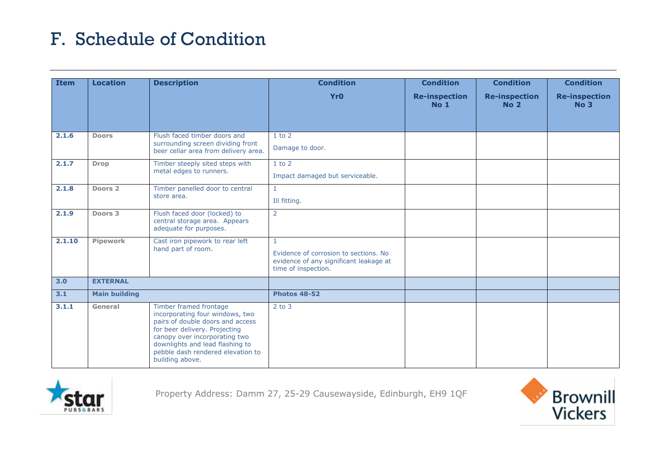| <b>Item</b> | <b>Location</b>      | <b>Description</b>                                                                                                                                                                                                                                         | <b>Condition</b>                                                                                                       | <b>Condition</b>                    | <b>Condition</b>                        | <b>Condition</b>                        |
|-------------|----------------------|------------------------------------------------------------------------------------------------------------------------------------------------------------------------------------------------------------------------------------------------------------|------------------------------------------------------------------------------------------------------------------------|-------------------------------------|-----------------------------------------|-----------------------------------------|
|             |                      |                                                                                                                                                                                                                                                            | <b>Yr0</b>                                                                                                             | <b>Re-inspection</b><br><b>No 1</b> | <b>Re-inspection</b><br>No <sub>2</sub> | <b>Re-inspection</b><br>No <sub>3</sub> |
| 2.1.6       | <b>Doors</b>         | Flush faced timber doors and<br>surrounding screen dividing front<br>beer cellar area from delivery area.                                                                                                                                                  | $1$ to $2$<br>Damage to door.                                                                                          |                                     |                                         |                                         |
| 2.1.7       | <b>Drop</b>          | Timber steeply sited steps with<br>metal edges to runners.                                                                                                                                                                                                 | $1$ to $2$<br>Impact damaged but serviceable.                                                                          |                                     |                                         |                                         |
| 2.1.8       | Doors <sub>2</sub>   | Timber panelled door to central<br>store area.                                                                                                                                                                                                             | $\mathbf{1}$<br>Ill fitting.                                                                                           |                                     |                                         |                                         |
| 2.1.9       | Doors 3              | Flush faced door (locked) to<br>central storage area. Appears<br>adequate for purposes.                                                                                                                                                                    | 2                                                                                                                      |                                     |                                         |                                         |
| 2.1.10      | Pipework             | Cast iron pipework to rear left<br>hand part of room.                                                                                                                                                                                                      | $\mathbf{1}$<br>Evidence of corrosion to sections. No<br>evidence of any significant leakage at<br>time of inspection. |                                     |                                         |                                         |
| 3.0         | <b>EXTERNAL</b>      |                                                                                                                                                                                                                                                            |                                                                                                                        |                                     |                                         |                                         |
| 3.1         | <b>Main building</b> |                                                                                                                                                                                                                                                            | <b>Photos 48-52</b>                                                                                                    |                                     |                                         |                                         |
| 3.1.1       | General              | Timber framed frontage<br>incorporating four windows, two<br>pairs of double doors and access<br>for beer delivery. Projecting<br>canopy over incorporating two<br>downlights and lead flashing to<br>pebble dash rendered elevation to<br>building above. | $2$ to $3$                                                                                                             |                                     |                                         |                                         |



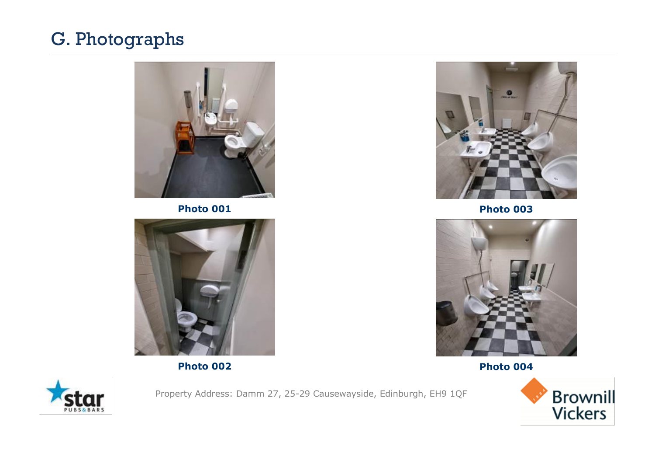

**Photo 001**



**Photo 002**



**Photo 003**



**Photo 004**



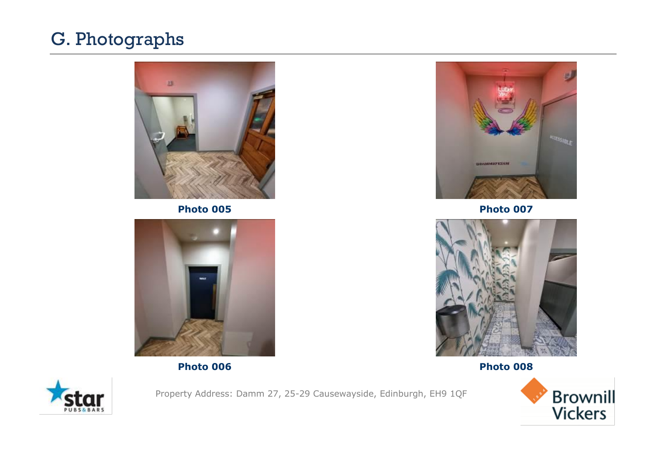

**Photo 005**



**Photo 006**



**Photo 007**



**Photo 008**



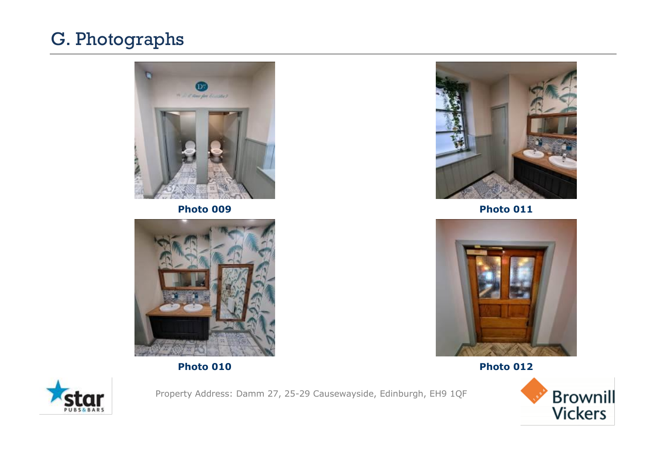

**Photo 009**



**Photo 010**



**Photo 011**



**Photo 012**



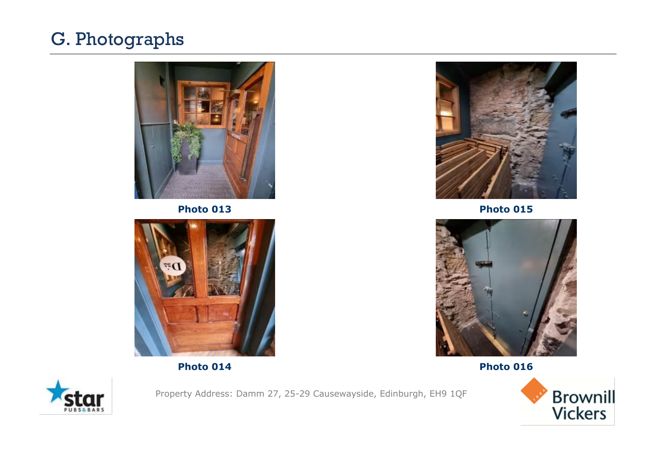

**Photo 013**



**Photo 014**



**Photo 015**



**Photo 016**



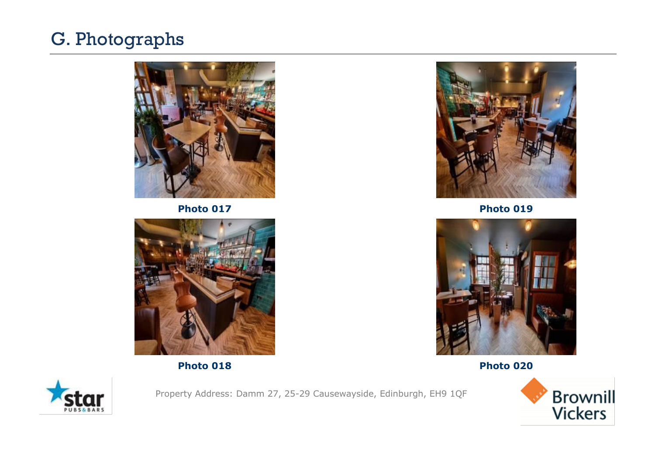

**Photo 017**



**Photo 018**



**Photo 019**



**Photo 020**



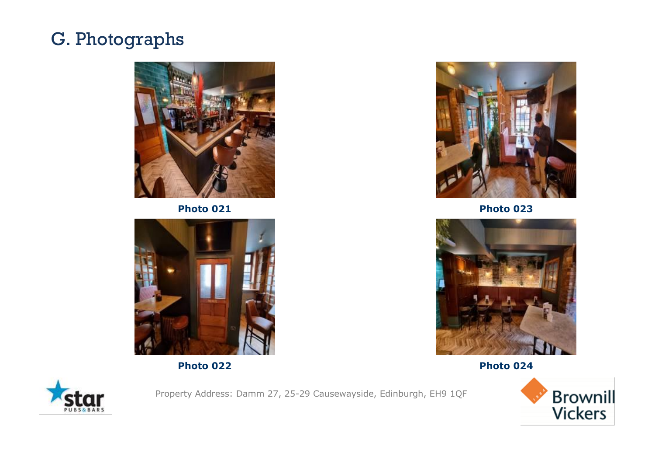

**Photo 021**



**Photo 022**



**Photo 023**



**Photo 024**



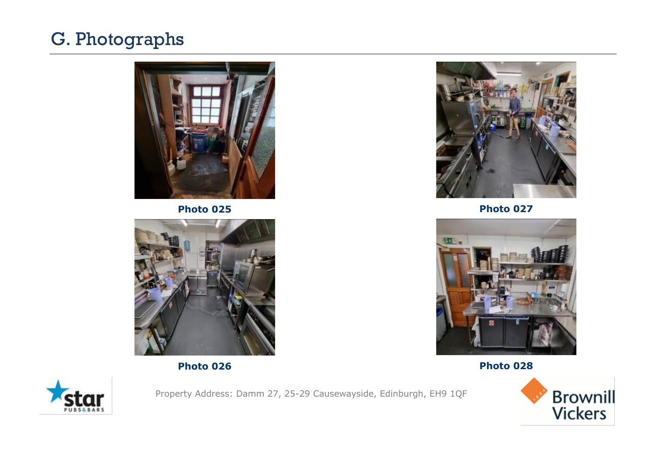

**Photo 025**



**Photo 026**



**Photo 027**



**Photo 028**



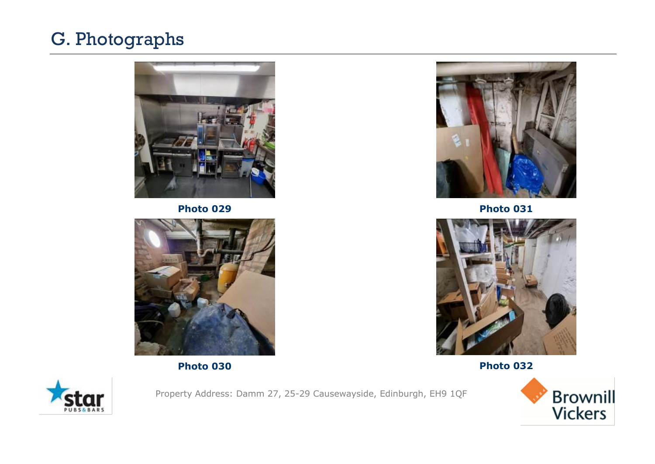

**Photo 029**



**Photo 030**



**Photo 031**



**Photo 032**



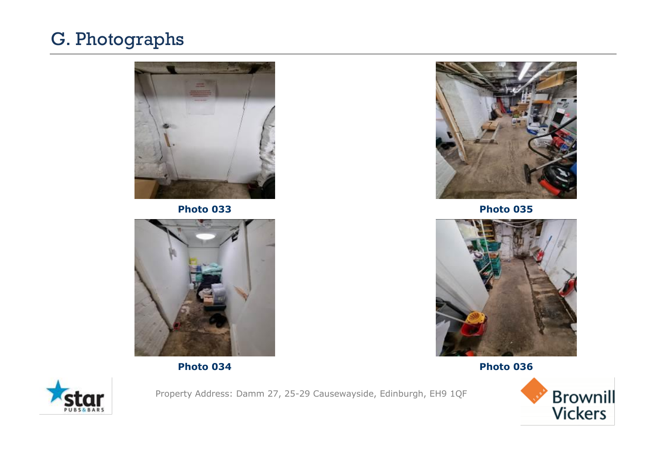

**Photo 033**



**Photo 034**



**Photo 035**



**Photo 036**



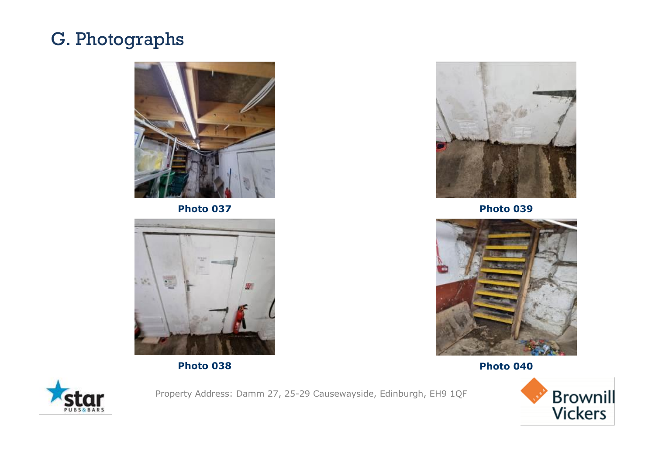

**Photo 037**



**Photo 038**



**Photo 039**



**Photo 040**



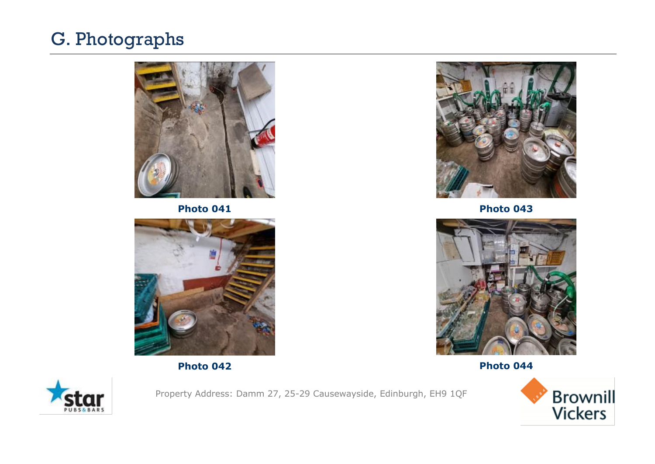

**Photo 041**



**Photo 042**



**Photo 043**



**Photo 044**



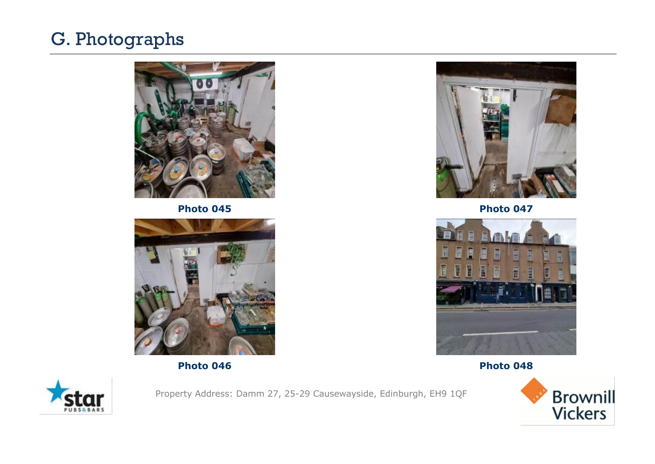

**Photo 045**



**Photo 046**



**Photo 047**



**Photo 048**



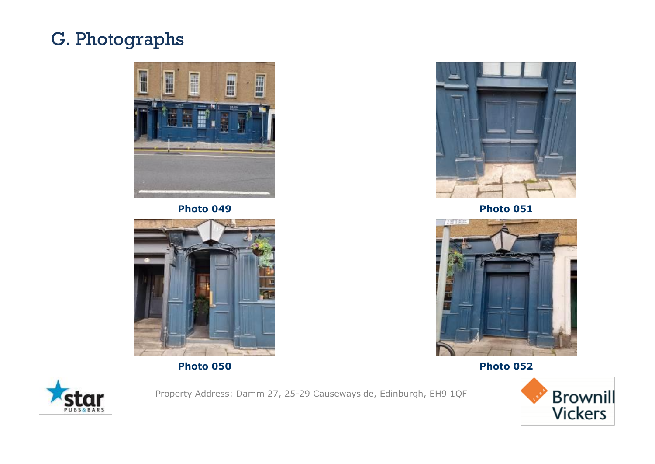

**Photo 049**



**Photo 050**



**Photo 051**



**Photo 052**



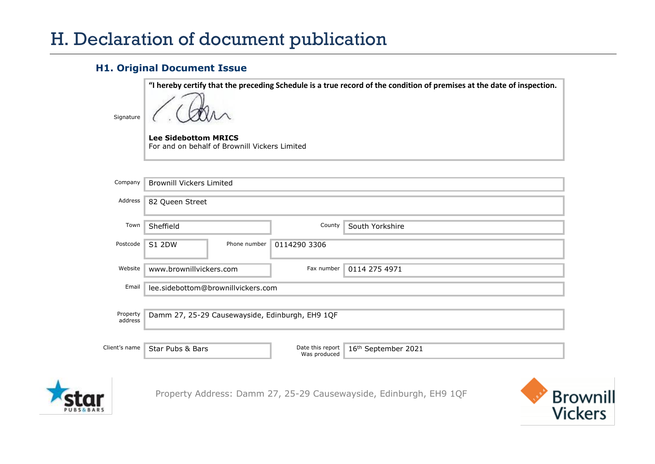#### **H1. Original Document Issue**

| Signature           | "I hereby certify that the preceding Schedule is a true record of the condition of premises at the date of inspection.<br><b>Lee Sidebottom MRICS</b><br>For and on behalf of Brownill Vickers Limited |                                  |                     |  |  |  |  |  |
|---------------------|--------------------------------------------------------------------------------------------------------------------------------------------------------------------------------------------------------|----------------------------------|---------------------|--|--|--|--|--|
| Company             | <b>Brownill Vickers Limited</b>                                                                                                                                                                        |                                  |                     |  |  |  |  |  |
| Address             | 82 Queen Street                                                                                                                                                                                        |                                  |                     |  |  |  |  |  |
| Town                | Sheffield                                                                                                                                                                                              | County                           | South Yorkshire     |  |  |  |  |  |
| Postcode            | <b>S1 2DW</b><br>Phone number                                                                                                                                                                          | 0114290 3306                     |                     |  |  |  |  |  |
| Website             | www.brownillvickers.com                                                                                                                                                                                | Fax number                       | 0114 275 4971       |  |  |  |  |  |
| Email               | lee.sidebottom@brownillvickers.com                                                                                                                                                                     |                                  |                     |  |  |  |  |  |
| Property<br>address | Damm 27, 25-29 Causewayside, Edinburgh, EH9 1QF                                                                                                                                                        |                                  |                     |  |  |  |  |  |
| Client's name       | Star Pubs & Bars                                                                                                                                                                                       | Date this report<br>Was produced | 16th September 2021 |  |  |  |  |  |